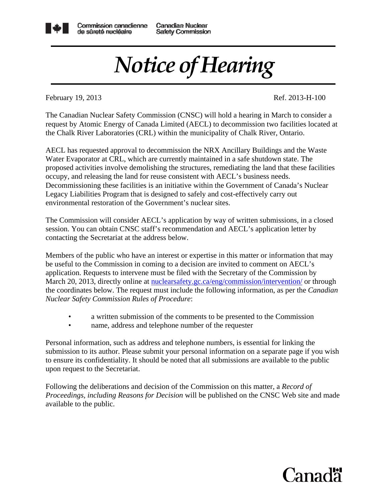

Canadian Nuclear **Safety Commission** 

## *Notice of Hearing*

February 19, 2013 **Ref. 2013-H-100** 

The Canadian Nuclear Safety Commission (CNSC) will hold a hearing in March to consider a request by Atomic Energy of Canada Limited (AECL) to decommission two facilities located at the Chalk River Laboratories (CRL) within the municipality of Chalk River, Ontario.

AECL has requested approval to decommission the NRX Ancillary Buildings and the Waste Water Evaporator at CRL, which are currently maintained in a safe shutdown state. The proposed activities involve demolishing the structures, remediating the land that these facilities occupy, and releasing the land for reuse consistent with AECL's business needs. Decommissioning these facilities is an initiative within the Government of Canada's Nuclear Legacy Liabilities Program that is designed to safely and cost-effectively carry out environmental restoration of the Government's nuclear sites.

The Commission will consider AECL's application by way of written submissions, in a closed session. You can obtain CNSC staff's recommendation and AECL's application letter by contacting the Secretariat at the address below.

Members of the public who have an interest or expertise in this matter or information that may be useful to the Commission in coming to a decision are invited to comment on AECL's application. Requests to intervene must be filed with the Secretary of the Commission by March 20, 2013, directly online at nuclearsafety.gc.ca/eng/commission/intervention/ or through the coordinates below. The request must include the following information, as per the *Canadian Nuclear Safety Commission Rules of Procedure*:

- a written submission of the comments to be presented to the Commission
- name, address and telephone number of the requester

Personal information, such as address and telephone numbers, is essential for linking the submission to its author. Please submit your personal information on a separate page if you wish to ensure its confidentiality. It should be noted that all submissions are available to the public upon request to the Secretariat.

Following the deliberations and decision of the Commission on this matter, a *Record of Proceedings, including Reasons for Decision* will be published on the CNSC Web site and made available to the public.